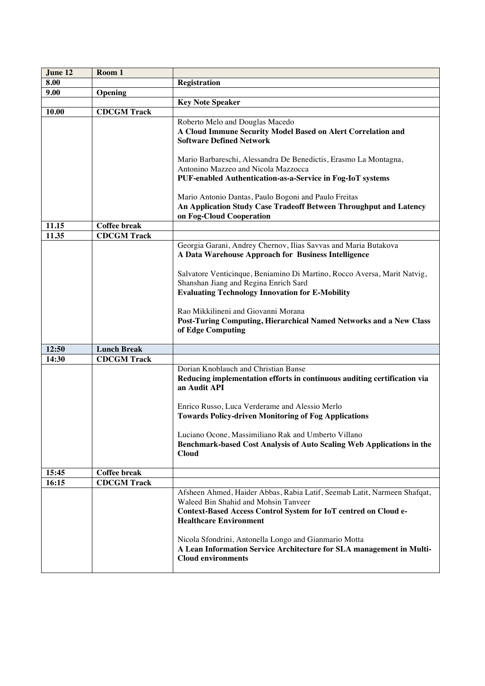| June 12 | Room 1              |                                                                                                   |
|---------|---------------------|---------------------------------------------------------------------------------------------------|
| 8.00    |                     | <b>Registration</b>                                                                               |
| 9.00    | Opening             |                                                                                                   |
|         |                     | <b>Key Note Speaker</b>                                                                           |
| 10.00   | <b>CDCGM Track</b>  |                                                                                                   |
|         |                     | Roberto Melo and Douglas Macedo                                                                   |
|         |                     | A Cloud Immune Security Model Based on Alert Correlation and                                      |
|         |                     | <b>Software Defined Network</b>                                                                   |
|         |                     |                                                                                                   |
|         |                     | Mario Barbareschi, Alessandra De Benedictis, Erasmo La Montagna,                                  |
|         |                     | Antonino Mazzeo and Nicola Mazzocca                                                               |
|         |                     | PUF-enabled Authentication-as-a-Service in Fog-IoT systems                                        |
|         |                     | Mario Antonio Dantas, Paulo Bogoni and Paulo Freitas                                              |
|         |                     | An Application Study Case Tradeoff Between Throughput and Latency                                 |
|         |                     | on Fog-Cloud Cooperation                                                                          |
| 11.15   | <b>Coffee break</b> |                                                                                                   |
| 11.35   | <b>CDCGM Track</b>  |                                                                                                   |
|         |                     | Georgia Garani, Andrey Chernov, Ilias Savvas and Maria Butakova                                   |
|         |                     | A Data Warehouse Approach for Business Intelligence                                               |
|         |                     |                                                                                                   |
|         |                     | Salvatore Venticinque, Beniamino Di Martino, Rocco Aversa, Marit Natvig,                          |
|         |                     | Shanshan Jiang and Regina Enrich Sard                                                             |
|         |                     | <b>Evaluating Technology Innovation for E-Mobility</b>                                            |
|         |                     |                                                                                                   |
|         |                     | Rao Mikkilineni and Giovanni Morana                                                               |
|         |                     | Post-Turing Computing, Hierarchical Named Networks and a New Class<br>of Edge Computing           |
|         |                     |                                                                                                   |
| 12:50   | <b>Lunch Break</b>  |                                                                                                   |
| 14:30   | <b>CDCGM Track</b>  |                                                                                                   |
|         |                     | Dorian Knoblauch and Christian Banse                                                              |
|         |                     | Reducing implementation efforts in continuous auditing certification via                          |
|         |                     | an Audit API                                                                                      |
|         |                     |                                                                                                   |
|         |                     | Enrico Russo, Luca Verderame and Alessio Merlo                                                    |
|         |                     | <b>Towards Policy-driven Monitoring of Fog Applications</b>                                       |
|         |                     | Luciano Ocone, Massimiliano Rak and Umberto Villano                                               |
|         |                     | Benchmark-based Cost Analysis of Auto Scaling Web Applications in the                             |
|         |                     | <b>Cloud</b>                                                                                      |
|         |                     |                                                                                                   |
| 15:45   | <b>Coffee break</b> |                                                                                                   |
| 16:15   | <b>CDCGM Track</b>  |                                                                                                   |
|         |                     | Afsheen Ahmed, Haider Abbas, Rabia Latif, Seemab Latit, Narmeen Shafqat,                          |
|         |                     | Waleed Bin Shahid and Mohsin Tanveer                                                              |
|         |                     |                                                                                                   |
|         |                     | Context-Based Access Control System for IoT centred on Cloud e-                                   |
|         |                     | <b>Healthcare Environment</b>                                                                     |
|         |                     |                                                                                                   |
|         |                     | Nicola Sfondrini, Antonella Longo and Gianmario Motta                                             |
|         |                     | A Lean Information Service Architecture for SLA management in Multi-<br><b>Cloud environments</b> |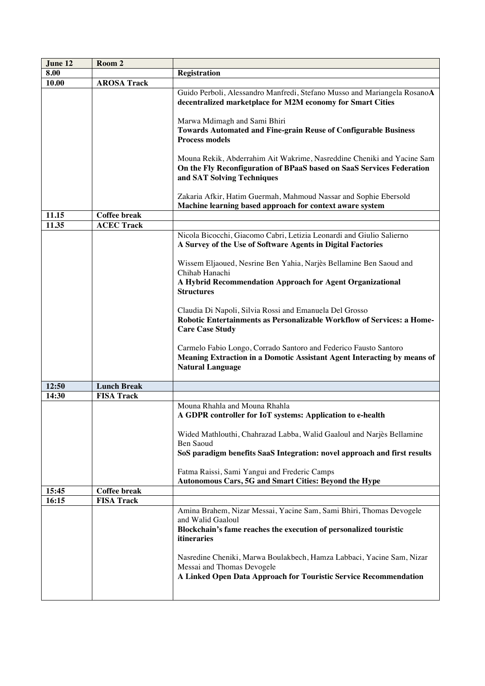| June 12 | Room 2              |                                                                                                                                                                               |
|---------|---------------------|-------------------------------------------------------------------------------------------------------------------------------------------------------------------------------|
| 8.00    |                     | <b>Registration</b>                                                                                                                                                           |
| 10.00   | <b>AROSA Track</b>  |                                                                                                                                                                               |
|         |                     | Guido Perboli, Alessandro Manfredi, Stefano Musso and Mariangela RosanoA<br>decentralized marketplace for M2M economy for Smart Cities                                        |
|         |                     | Marwa Mdimagh and Sami Bhiri<br>Towards Automated and Fine-grain Reuse of Configurable Business<br><b>Process models</b>                                                      |
|         |                     | Mouna Rekik, Abderrahim Ait Wakrime, Nasreddine Cheniki and Yacine Sam<br>On the Fly Reconfiguration of BPaaS based on SaaS Services Federation<br>and SAT Solving Techniques |
|         |                     | Zakaria Afkir, Hatim Guermah, Mahmoud Nassar and Sophie Ebersold<br>Machine learning based approach for context aware system                                                  |
| 11.15   | <b>Coffee break</b> |                                                                                                                                                                               |
| 11.35   | <b>ACEC Track</b>   |                                                                                                                                                                               |
|         |                     | Nicola Bicocchi, Giacomo Cabri, Letizia Leonardi and Giulio Salierno<br>A Survey of the Use of Software Agents in Digital Factories                                           |
|         |                     | Wissem Eljaoued, Nesrine Ben Yahia, Narjès Bellamine Ben Saoud and<br>Chihab Hanachi                                                                                          |
|         |                     | A Hybrid Recommendation Approach for Agent Organizational<br><b>Structures</b>                                                                                                |
|         |                     | Claudia Di Napoli, Silvia Rossi and Emanuela Del Grosso<br>Robotic Entertainments as Personalizable Workflow of Services: a Home-<br><b>Care Case Study</b>                   |
|         |                     | Carmelo Fabio Longo, Corrado Santoro and Federico Fausto Santoro<br>Meaning Extraction in a Domotic Assistant Agent Interacting by means of<br><b>Natural Language</b>        |
| 12:50   | <b>Lunch Break</b>  |                                                                                                                                                                               |
| 14:30   | <b>FISA Track</b>   |                                                                                                                                                                               |
|         |                     | Mouna Rhahla and Mouna Rhahla<br>A GDPR controller for IoT systems: Application to e-health                                                                                   |
|         |                     | Wided Mathlouthi, Chahrazad Labba, Walid Gaaloul and Narjès Bellamine<br>Ben Saoud<br>SoS paradigm benefits SaaS Integration: novel approach and first results                |
|         |                     | Fatma Raissi, Sami Yangui and Frederic Camps                                                                                                                                  |
|         |                     | Autonomous Cars, 5G and Smart Cities: Beyond the Hype                                                                                                                         |
| 15:45   | <b>Coffee break</b> |                                                                                                                                                                               |
| 16:15   | <b>FISA Track</b>   |                                                                                                                                                                               |
|         |                     | Amina Brahem, Nizar Messai, Yacine Sam, Sami Bhiri, Thomas Devogele                                                                                                           |
|         |                     | and Walid Gaaloul<br>Blockchain's fame reaches the execution of personalized touristic<br>itineraries                                                                         |
|         |                     | Nasredine Cheniki, Marwa Boulakbech, Hamza Labbaci, Yacine Sam, Nizar<br>Messai and Thomas Devogele<br>A Linked Open Data Approach for Touristic Service Recommendation       |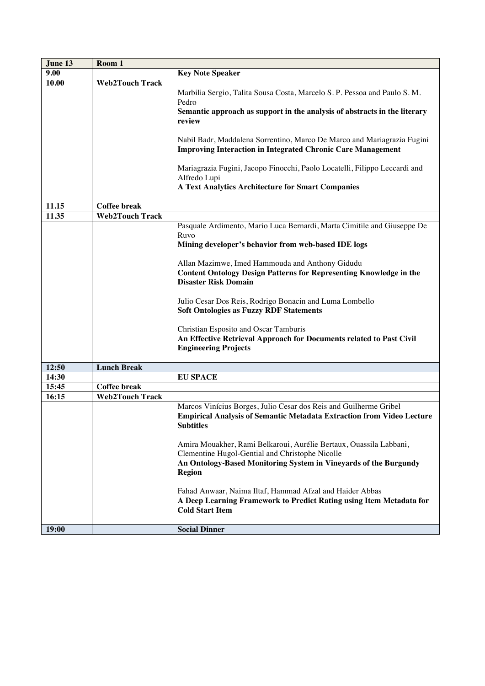| June 13 | Room 1                 |                                                                                                    |
|---------|------------------------|----------------------------------------------------------------------------------------------------|
| 9.00    |                        | <b>Key Note Speaker</b>                                                                            |
| 10.00   | <b>Web2Touch Track</b> |                                                                                                    |
|         |                        | Marbilia Sergio, Talita Sousa Costa, Marcelo S. P. Pessoa and Paulo S. M.                          |
|         |                        | Pedro                                                                                              |
|         |                        | Semantic approach as support in the analysis of abstracts in the literary                          |
|         |                        | review                                                                                             |
|         |                        |                                                                                                    |
|         |                        | Nabil Badr, Maddalena Sorrentino, Marco De Marco and Mariagrazia Fugini                            |
|         |                        | <b>Improving Interaction in Integrated Chronic Care Management</b>                                 |
|         |                        |                                                                                                    |
|         |                        | Mariagrazia Fugini, Jacopo Finocchi, Paolo Locatelli, Filippo Leccardi and                         |
|         |                        | Alfredo Lupi                                                                                       |
|         |                        | <b>A Text Analytics Architecture for Smart Companies</b>                                           |
| 11.15   | <b>Coffee break</b>    |                                                                                                    |
| 11.35   | <b>Web2Touch Track</b> |                                                                                                    |
|         |                        | Pasquale Ardimento, Mario Luca Bernardi, Marta Cimitile and Giuseppe De                            |
|         |                        | Ruvo                                                                                               |
|         |                        | Mining developer's behavior from web-based IDE logs                                                |
|         |                        |                                                                                                    |
|         |                        | Allan Mazimwe, Imed Hammouda and Anthony Gidudu                                                    |
|         |                        | <b>Content Ontology Design Patterns for Representing Knowledge in the</b>                          |
|         |                        | <b>Disaster Risk Domain</b>                                                                        |
|         |                        |                                                                                                    |
|         |                        | Julio Cesar Dos Reis, Rodrigo Bonacin and Luma Lombello                                            |
|         |                        | <b>Soft Ontologies as Fuzzy RDF Statements</b>                                                     |
|         |                        |                                                                                                    |
|         |                        | Christian Esposito and Oscar Tamburis                                                              |
|         |                        | An Effective Retrieval Approach for Documents related to Past Civil<br><b>Engineering Projects</b> |
|         |                        |                                                                                                    |
| 12:50   | <b>Lunch Break</b>     |                                                                                                    |
| 14:30   |                        | <b>EU SPACE</b>                                                                                    |
| 15:45   | <b>Coffee break</b>    |                                                                                                    |
| 16:15   | <b>Web2Touch Track</b> |                                                                                                    |
|         |                        | Marcos Vinícius Borges, Julio Cesar dos Reis and Guilherme Gribel                                  |
|         |                        | <b>Empirical Analysis of Semantic Metadata Extraction from Video Lecture</b>                       |
|         |                        | <b>Subtitles</b>                                                                                   |
|         |                        |                                                                                                    |
|         |                        | Amira Mouakher, Rami Belkaroui, Aurélie Bertaux, Ouassila Labbani,                                 |
|         |                        | Clementine Hugol-Gential and Christophe Nicolle                                                    |
|         |                        | An Ontology-Based Monitoring System in Vineyards of the Burgundy                                   |
|         |                        | Region                                                                                             |
|         |                        |                                                                                                    |
|         |                        | Fahad Anwaar, Naima Iltaf, Hammad Afzal and Haider Abbas                                           |
|         |                        | A Deep Learning Framework to Predict Rating using Item Metadata for<br><b>Cold Start Item</b>      |
|         |                        |                                                                                                    |
| 19:00   |                        | <b>Social Dinner</b>                                                                               |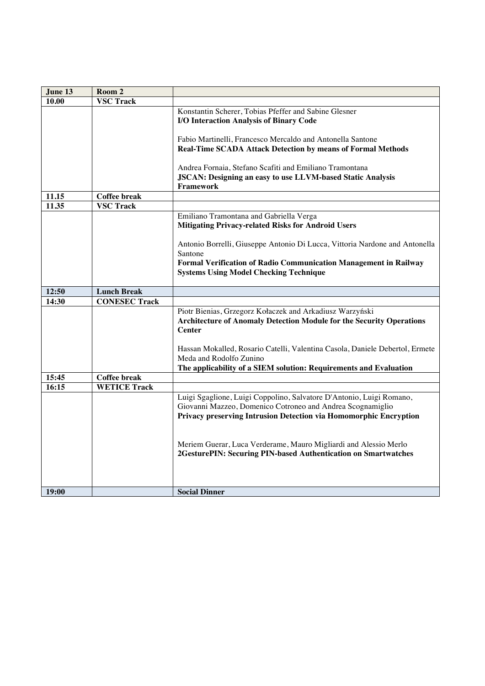| June 13        | Room 2               |                                                                              |
|----------------|----------------------|------------------------------------------------------------------------------|
| 10.00          | <b>VSC Track</b>     |                                                                              |
|                |                      | Konstantin Scherer, Tobias Pfeffer and Sabine Glesner                        |
|                |                      | I/O Interaction Analysis of Binary Code                                      |
|                |                      |                                                                              |
|                |                      | Fabio Martinelli, Francesco Mercaldo and Antonella Santone                   |
|                |                      | Real-Time SCADA Attack Detection by means of Formal Methods                  |
|                |                      |                                                                              |
|                |                      | Andrea Fornaia, Stefano Scafiti and Emiliano Tramontana                      |
|                |                      | <b>JSCAN: Designing an easy to use LLVM-based Static Analysis</b>            |
|                | <b>Coffee break</b>  | <b>Framework</b>                                                             |
| 11.15<br>11.35 | <b>VSC Track</b>     |                                                                              |
|                |                      | Emiliano Tramontana and Gabriella Verga                                      |
|                |                      | <b>Mitigating Privacy-related Risks for Android Users</b>                    |
|                |                      |                                                                              |
|                |                      | Antonio Borrelli, Giuseppe Antonio Di Lucca, Vittoria Nardone and Antonella  |
|                |                      | Santone                                                                      |
|                |                      | Formal Verification of Radio Communication Management in Railway             |
|                |                      | <b>Systems Using Model Checking Technique</b>                                |
|                |                      |                                                                              |
| 12:50          | <b>Lunch Break</b>   |                                                                              |
| 14:30          | <b>CONESEC Track</b> |                                                                              |
|                |                      | Piotr Bienias, Grzegorz Kołaczek and Arkadiusz Warzyński                     |
|                |                      | <b>Architecture of Anomaly Detection Module for the Security Operations</b>  |
|                |                      | <b>Center</b>                                                                |
|                |                      |                                                                              |
|                |                      | Hassan Mokalled, Rosario Catelli, Valentina Casola, Daniele Debertol, Ermete |
|                |                      | Meda and Rodolfo Zunino                                                      |
| 15:45          | <b>Coffee break</b>  | The applicability of a SIEM solution: Requirements and Evaluation            |
| 16:15          | <b>WETICE Track</b>  |                                                                              |
|                |                      | Luigi Sgaglione, Luigi Coppolino, Salvatore D'Antonio, Luigi Romano,         |
|                |                      | Giovanni Mazzeo, Domenico Cotroneo and Andrea Scognamiglio                   |
|                |                      | Privacy preserving Intrusion Detection via Homomorphic Encryption            |
|                |                      |                                                                              |
|                |                      |                                                                              |
|                |                      | Meriem Guerar, Luca Verderame, Mauro Migliardi and Alessio Merlo             |
|                |                      | 2GesturePIN: Securing PIN-based Authentication on Smartwatches               |
|                |                      |                                                                              |
|                |                      |                                                                              |
|                |                      |                                                                              |
| 19:00          |                      | <b>Social Dinner</b>                                                         |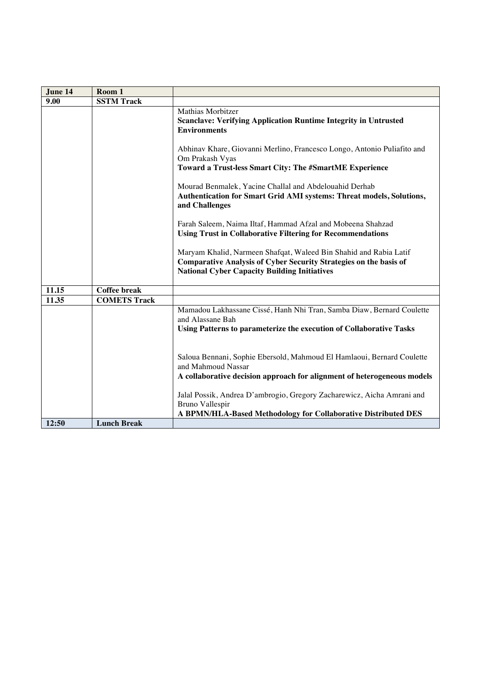| June 14 | Room 1              |                                                                                                                                                                                                      |
|---------|---------------------|------------------------------------------------------------------------------------------------------------------------------------------------------------------------------------------------------|
| 9.00    | <b>SSTM Track</b>   |                                                                                                                                                                                                      |
|         |                     | Mathias Morbitzer<br><b>Scanclave: Verifying Application Runtime Integrity in Untrusted</b><br><b>Environments</b>                                                                                   |
|         |                     | Abhinav Khare, Giovanni Merlino, Francesco Longo, Antonio Puliafito and<br>Om Prakash Vyas<br>Toward a Trust-less Smart City: The #SmartME Experience                                                |
|         |                     | Mourad Benmalek, Yacine Challal and Abdelouahid Derhab<br>Authentication for Smart Grid AMI systems: Threat models, Solutions,<br>and Challenges                                                     |
|         |                     | Farah Saleem, Naima Iltaf, Hammad Afzal and Mobeena Shahzad<br><b>Using Trust in Collaborative Filtering for Recommendations</b>                                                                     |
|         |                     | Maryam Khalid, Narmeen Shafqat, Waleed Bin Shahid and Rabia Latif<br><b>Comparative Analysis of Cyber Security Strategies on the basis of</b><br><b>National Cyber Capacity Building Initiatives</b> |
| 11.15   | <b>Coffee break</b> |                                                                                                                                                                                                      |
| 11.35   | <b>COMETS Track</b> |                                                                                                                                                                                                      |
|         |                     | Mamadou Lakhassane Cissé, Hanh Nhi Tran, Samba Diaw, Bernard Coulette<br>and Alassane Bah                                                                                                            |
|         |                     | Using Patterns to parameterize the execution of Collaborative Tasks                                                                                                                                  |
|         |                     | Saloua Bennani, Sophie Ebersold, Mahmoud El Hamlaoui, Bernard Coulette<br>and Mahmoud Nassar                                                                                                         |
|         |                     | A collaborative decision approach for alignment of heterogeneous models                                                                                                                              |
|         |                     | Jalal Possik, Andrea D'ambrogio, Gregory Zacharewicz, Aicha Amrani and<br><b>Bruno Vallespir</b>                                                                                                     |
|         |                     | A BPMN/HLA-Based Methodology for Collaborative Distributed DES                                                                                                                                       |
| 12:50   | <b>Lunch Break</b>  |                                                                                                                                                                                                      |